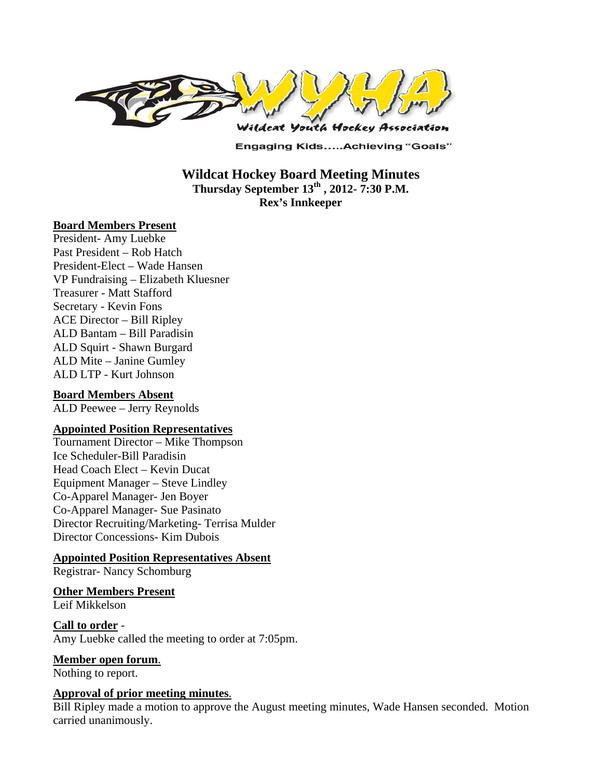

**Engaging Kids.....Achieving "Goals"** 

**Wildcat Hockey Board Meeting Minutes Thursday September 13th , 2012- 7:30 P.M. Rex's Innkeeper** 

#### **Board Members Present**

President- Amy Luebke Past President – Rob Hatch President-Elect – Wade Hansen VP Fundraising – Elizabeth Kluesner Treasurer - Matt Stafford Secretary - Kevin Fons ACE Director – Bill Ripley ALD Bantam – Bill Paradisin ALD Squirt - Shawn Burgard ALD Mite – Janine Gumley ALD LTP - Kurt Johnson

### **Board Members Absent**

ALD Peewee – Jerry Reynolds

### **Appointed Position Representatives**

Tournament Director – Mike Thompson Ice Scheduler-Bill Paradisin Head Coach Elect – Kevin Ducat Equipment Manager – Steve Lindley Co-Apparel Manager- Jen Boyer Co-Apparel Manager- Sue Pasinato Director Recruiting/Marketing- Terrisa Mulder Director Concessions- Kim Dubois

#### **Appointed Position Representatives Absent**

Registrar- Nancy Schomburg

# **Other Members Present**

Leif Mikkelson

**Call to order** - Amy Luebke called the meeting to order at 7:05pm.

### **Member open forum**.

Nothing to report.

#### **Approval of prior meeting minutes**.

Bill Ripley made a motion to approve the August meeting minutes, Wade Hansen seconded. Motion carried unanimously.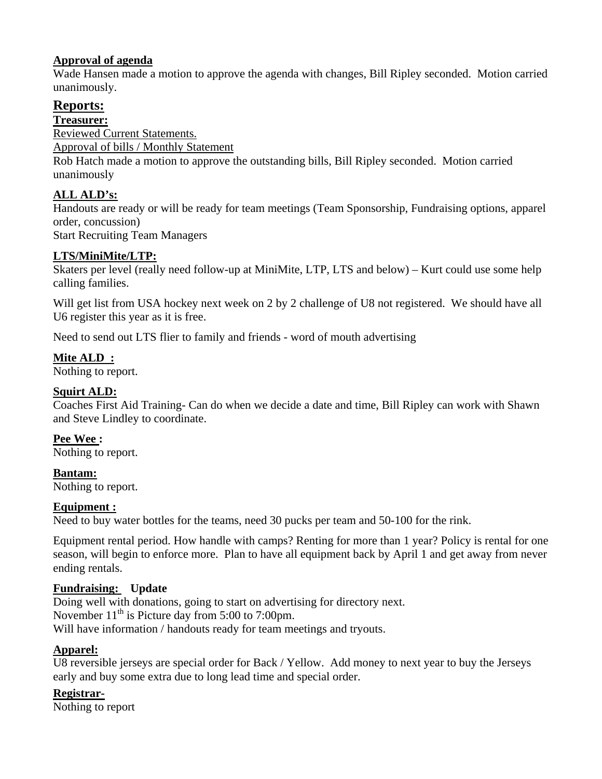## **Approval of agenda**

Wade Hansen made a motion to approve the agenda with changes, Bill Ripley seconded. Motion carried unanimously.

# **Reports:**

**Treasurer:** 

Reviewed Current Statements.

Approval of bills / Monthly Statement

Rob Hatch made a motion to approve the outstanding bills, Bill Ripley seconded. Motion carried unanimously

# **ALL ALD's:**

Handouts are ready or will be ready for team meetings (Team Sponsorship, Fundraising options, apparel order, concussion)

Start Recruiting Team Managers

## **LTS/MiniMite/LTP:**

Skaters per level (really need follow-up at MiniMite, LTP, LTS and below) – Kurt could use some help calling families.

Will get list from USA hockey next week on 2 by 2 challenge of U8 not registered. We should have all U6 register this year as it is free.

Need to send out LTS flier to family and friends - word of mouth advertising

## **Mite ALD :**

Nothing to report.

## **Squirt ALD:**

Coaches First Aid Training- Can do when we decide a date and time, Bill Ripley can work with Shawn and Steve Lindley to coordinate.

# **Pee Wee :**

Nothing to report.

**Bantam:**  Nothing to report.

## **Equipment :**

Need to buy water bottles for the teams, need 30 pucks per team and 50-100 for the rink.

Equipment rental period. How handle with camps? Renting for more than 1 year? Policy is rental for one season, will begin to enforce more. Plan to have all equipment back by April 1 and get away from never ending rentals.

## **Fundraising: Update**

Doing well with donations, going to start on advertising for directory next. November  $11<sup>th</sup>$  is Picture day from 5:00 to 7:00pm. Will have information / handouts ready for team meetings and tryouts.

## **Apparel:**

U8 reversible jerseys are special order for Back / Yellow. Add money to next year to buy the Jerseys early and buy some extra due to long lead time and special order.

## **Registrar-**

Nothing to report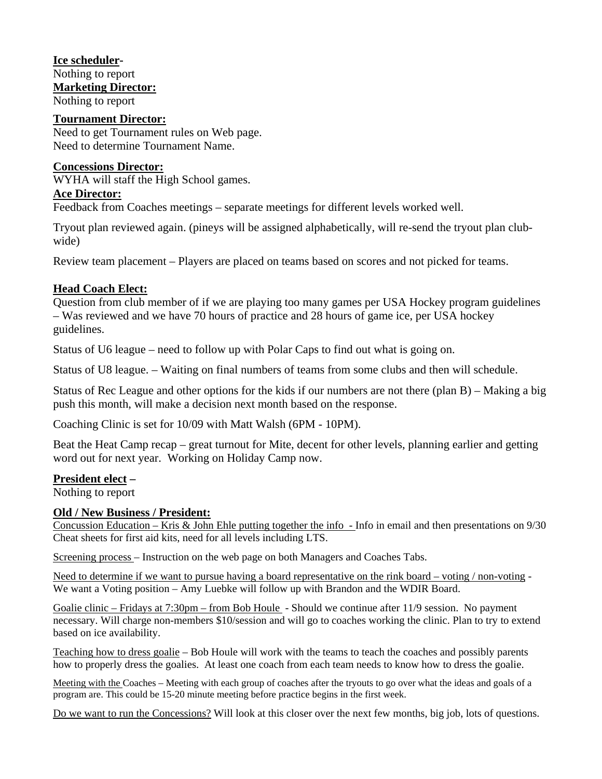**Ice scheduler-**Nothing to report **Marketing Director:** Nothing to report

#### **Tournament Director:**

Need to get Tournament rules on Web page. Need to determine Tournament Name.

#### **Concessions Director:**

WYHA will staff the High School games.

### **Ace Director:**

Feedback from Coaches meetings – separate meetings for different levels worked well.

Tryout plan reviewed again. (pineys will be assigned alphabetically, will re-send the tryout plan clubwide)

Review team placement – Players are placed on teams based on scores and not picked for teams.

### **Head Coach Elect:**

Question from club member of if we are playing too many games per USA Hockey program guidelines – Was reviewed and we have 70 hours of practice and 28 hours of game ice, per USA hockey guidelines.

Status of U6 league – need to follow up with Polar Caps to find out what is going on.

Status of U8 league. – Waiting on final numbers of teams from some clubs and then will schedule.

Status of Rec League and other options for the kids if our numbers are not there (plan B) – Making a big push this month, will make a decision next month based on the response.

Coaching Clinic is set for 10/09 with Matt Walsh (6PM - 10PM).

Beat the Heat Camp recap – great turnout for Mite, decent for other levels, planning earlier and getting word out for next year. Working on Holiday Camp now.

### **President elect –**

Nothing to report

### **Old / New Business / President:**

Concussion Education – Kris  $\&$  John Ehle putting together the info - Info in email and then presentations on  $9/30$ Cheat sheets for first aid kits, need for all levels including LTS.

Screening process – Instruction on the web page on both Managers and Coaches Tabs.

Need to determine if we want to pursue having a board representative on the rink board – voting / non-voting - We want a Voting position – Amy Luebke will follow up with Brandon and the WDIR Board.

Goalie clinic – Fridays at 7:30pm – from Bob Houle - Should we continue after 11/9 session. No payment necessary. Will charge non-members \$10/session and will go to coaches working the clinic. Plan to try to extend based on ice availability.

Teaching how to dress goalie – Bob Houle will work with the teams to teach the coaches and possibly parents how to properly dress the goalies. At least one coach from each team needs to know how to dress the goalie.

Meeting with the Coaches – Meeting with each group of coaches after the tryouts to go over what the ideas and goals of a program are. This could be 15-20 minute meeting before practice begins in the first week.

Do we want to run the Concessions? Will look at this closer over the next few months, big job, lots of questions.